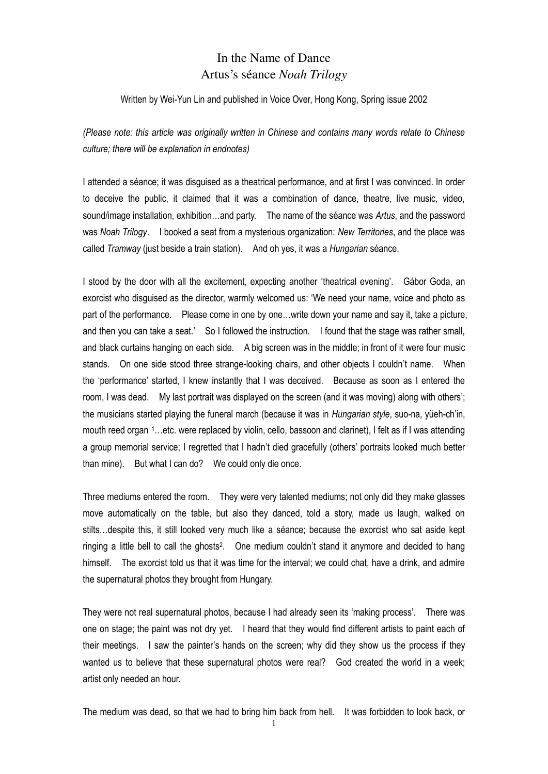## In the Name of Dance Artus's séance *Noah Trilogy*

## Written by Wei-Yun Lin and published in Voice Over, Hong Kong, Spring issue 2002

*(Please note: this article was originally written in Chinese and contains many words relate to Chinese culture; there will be explanation in endnotes)* 

I attended a séance; it was disguised as a theatrical performance, and at first I was convinced. In order to deceive the public, it claimed that it was a combination of dance, theatre, live music, video, sound/image installation, exhibition…and party. The name of the séance was *Artus*, and the password was *Noah Trilogy*. I booked a seat from a mysterious organization: *New Territories*, and the place was called *Tramway* (just beside a train station). And oh yes, it was a *Hungarian* séance.

I stood by the door with all the excitement, expecting another 'theatrical evening'. Gábor Goda, an exorcist who disguised as the director, warmly welcomed us: 'We need your name, voice and photo as part of the performance. Please come in one by one…write down your name and say it, take a picture, and then you can take a seat.' So I followed the instruction. I found that the stage was rather small, and black curtains hanging on each side. A big screen was in the middle; in front of it were four music stands. On one side stood three strange-looking chairs, and other objects I couldn't name. When the 'performance' started, I knew instantly that I was deceived. Because as soon as I entered the room, I was dead. My last portrait was displayed on the screen (and it was moving) along with others'; the musicians started playing the funeral march (because it was in *Hungarian style*, suo-na, yüeh-ch'in, mouth reed organ 1…etc. were replaced by violin, cello, bassoon and clarinet), I felt as if I was attending a group memorial service; I regretted that I hadn't died gracefully (others' portraits looked much better than mine). But what I can do? We could only die once.

Three mediums entered the room. They were very talented mediums; not only did they make glasses move automatically on the table, but also they danced, told a story, made us laugh, walked on stilts…despite this, it still looked very much like a séance; because the exorcist who sat aside kept ringing a little bell to call the ghosts<sup>2</sup>. One medium couldn't stand it anymore and decided to hang himself. The exorcist told us that it was time for the interval; we could chat, have a drink, and admire the supernatural photos they brought from Hungary.

They were not real supernatural photos, because I had already seen its 'making process'. There was one on stage; the paint was not dry yet. I heard that they would find different artists to paint each of their meetings. I saw the painter's hands on the screen; why did they show us the process if they wanted us to believe that these supernatural photos were real? God created the world in a week; artist only needed an hour.

The medium was dead, so that we had to bring him back from hell. It was forbidden to look back, or